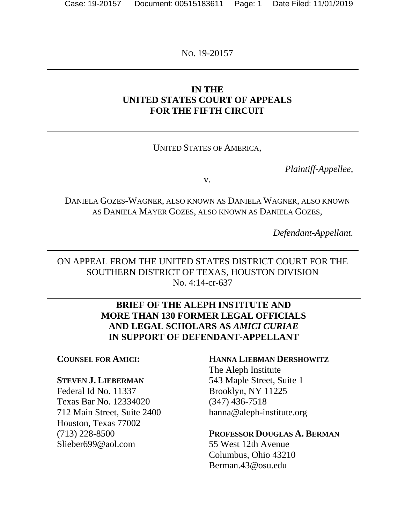NO. 19-20157

## **IN THE UNITED STATES COURT OF APPEALS FOR THE FIFTH CIRCUIT**

## UNITED STATES OF AMERICA,

*Plaintiff-Appellee,*

v.

DANIELA GOZES-WAGNER, ALSO KNOWN AS DANIELA WAGNER, ALSO KNOWN AS DANIELA MAYER GOZES, ALSO KNOWN AS DANIELA GOZES,

*Defendant-Appellant.*

ON APPEAL FROM THE UNITED STATES DISTRICT COURT FOR THE SOUTHERN DISTRICT OF TEXAS, HOUSTON DIVISION No. 4:14-cr-637

## **BRIEF OF THE ALEPH INSTITUTE AND MORE THAN 130 FORMER LEGAL OFFICIALS AND LEGAL SCHOLARS AS** *AMICI CURIAE*  **IN SUPPORT OF DEFENDANT-APPELLANT**

### **COUNSEL FOR AMICI:**

#### **STEVEN J. LIEBERMAN**

Federal Id No. 11337 Texas Bar No. 12334020 712 Main Street, Suite 2400 Houston, Texas 77002 (713) 228-8500 Slieber699@aol.com

### **HANNA LIEBMAN DERSHOWITZ**

The Aleph Institute 543 Maple Street, Suite 1 Brooklyn, NY 11225 (347) 436-7518 hanna@aleph-institute.org

### **PROFESSOR DOUGLAS A. BERMAN**

55 West 12th Avenue Columbus, Ohio 43210 Berman.43@osu.edu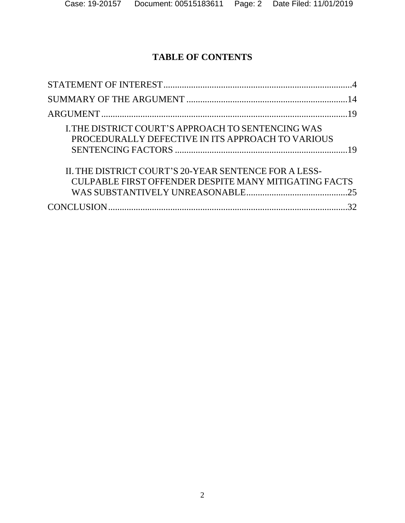# **TABLE OF CONTENTS**

| <b>I. THE DISTRICT COURT'S APPROACH TO SENTENCING WAS</b> |  |
|-----------------------------------------------------------|--|
| PROCEDURALLY DEFECTIVE IN ITS APPROACH TO VARIOUS         |  |
|                                                           |  |
| IL THE DISTRICT COURT'S 20-YEAR SENTENCE FOR A LESS-      |  |
| CULPABLE FIRST OFFENDER DESPITE MANY MITIGATING FACTS     |  |
|                                                           |  |
|                                                           |  |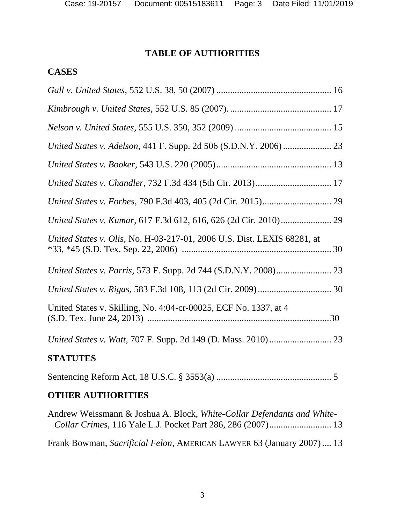# **TABLE OF AUTHORITIES**

# **CASES**

| United States v. Olis, No. H-03-217-01, 2006 U.S. Dist. LEXIS 68281, at |  |
|-------------------------------------------------------------------------|--|
|                                                                         |  |
|                                                                         |  |
| United States v. Skilling, No. 4:04-cr-00025, ECF No. 1337, at 4        |  |
|                                                                         |  |
| <b>STATUTES</b>                                                         |  |
|                                                                         |  |

# **OTHER AUTHORITIES**

| Andrew Weissmann & Joshua A. Block, White-Collar Defendants and White- |  |
|------------------------------------------------------------------------|--|
|                                                                        |  |
|                                                                        |  |
| Frank Bowman, Sacrificial Felon, AMERICAN LAWYER 63 (January 2007) 13  |  |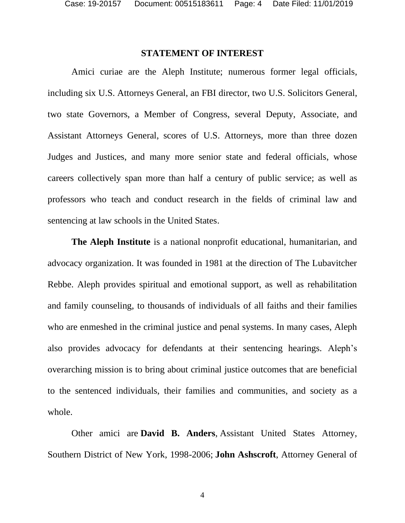### **STATEMENT OF INTEREST**

<span id="page-3-0"></span>Amici curiae are the Aleph Institute; numerous former legal officials, including six U.S. Attorneys General, an FBI director, two U.S. Solicitors General, two state Governors, a Member of Congress, several Deputy, Associate, and Assistant Attorneys General, scores of U.S. Attorneys, more than three dozen Judges and Justices, and many more senior state and federal officials, whose careers collectively span more than half a century of public service; as well as professors who teach and conduct research in the fields of criminal law and sentencing at law schools in the United States.

**The Aleph Institute** is a national nonprofit educational, humanitarian, and advocacy organization. It was founded in 1981 at the direction of The Lubavitcher Rebbe. Aleph provides spiritual and emotional support, as well as rehabilitation and family counseling, to thousands of individuals of all faiths and their families who are enmeshed in the criminal justice and penal systems. In many cases, Aleph also provides advocacy for defendants at their sentencing hearings. Aleph's overarching mission is to bring about criminal justice outcomes that are beneficial to the sentenced individuals, their families and communities, and society as a whole.

Other amici are **David B. Anders**, Assistant United States Attorney, Southern District of New York, 1998-2006; **John Ashscroft**, Attorney General of

4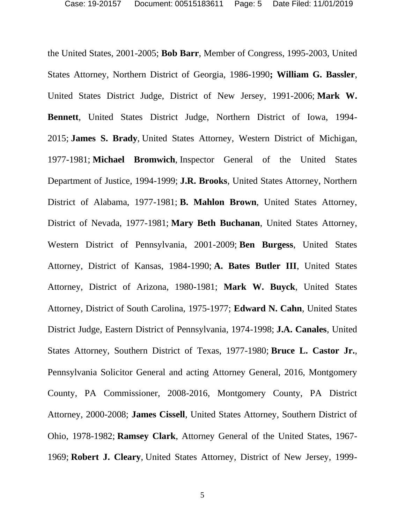the United States, 2001-2005; **Bob Barr**, Member of Congress, 1995-2003, United States Attorney, Northern District of Georgia, 1986-1990**; William G. Bassler**, United States District Judge, District of New Jersey, 1991-2006; **Mark W. Bennett**, United States District Judge, Northern District of Iowa, 1994- 2015; **James S. Brady**, United States Attorney, Western District of Michigan, 1977-1981; **Michael Bromwich**, Inspector General of the United States Department of Justice, 1994-1999; **J.R. Brooks**, United States Attorney, Northern District of Alabama, 1977-1981; **B. Mahlon Brown**, United States Attorney, District of Nevada, 1977-1981; **Mary Beth Buchanan**, United States Attorney, Western District of Pennsylvania, 2001-2009; **Ben Burgess**, United States Attorney, District of Kansas, 1984-1990; **A. Bates Butler III**, United States Attorney, District of Arizona, 1980-1981; **Mark W. Buyck**, United States Attorney, District of South Carolina, 1975-1977; **Edward N. Cahn**, United States District Judge, Eastern District of Pennsylvania, 1974-1998; **J.A. Canales**, United States Attorney, Southern District of Texas, 1977-1980; **Bruce L. Castor Jr.**, Pennsylvania Solicitor General and acting Attorney General, 2016, Montgomery County, PA Commissioner, 2008-2016, Montgomery County, PA District Attorney, 2000-2008; **James Cissell**, United States Attorney, Southern District of Ohio, 1978-1982; **Ramsey Clark**, Attorney General of the United States, 1967- 1969; **Robert J. Cleary**, United States Attorney, District of New Jersey, 1999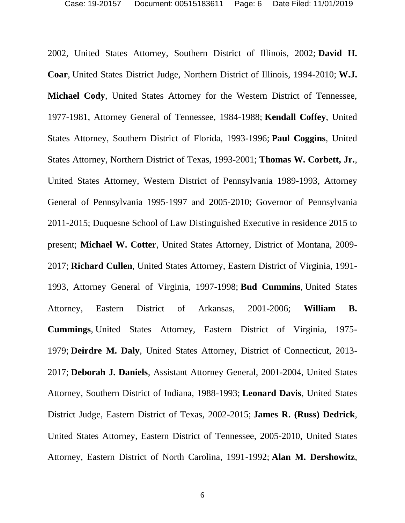2002, United States Attorney, Southern District of Illinois, 2002; **David H. Coar**, United States District Judge, Northern District of Illinois, 1994-2010; **W.J. Michael Cody**, United States Attorney for the Western District of Tennessee, 1977-1981, Attorney General of Tennessee, 1984-1988; **Kendall Coffey**, United States Attorney, Southern District of Florida, 1993-1996; **Paul Coggins**, United States Attorney, Northern District of Texas, 1993-2001; **Thomas W. Corbett, Jr.**, United States Attorney, Western District of Pennsylvania 1989-1993, Attorney General of Pennsylvania 1995-1997 and 2005-2010; Governor of Pennsylvania 2011-2015; Duquesne School of Law Distinguished Executive in residence 2015 to present; **Michael W. Cotter**, United States Attorney, District of Montana, 2009- 2017; **Richard Cullen**, United States Attorney, Eastern District of Virginia, 1991- 1993, Attorney General of Virginia, 1997-1998; **Bud Cummins**, United States Attorney, Eastern District of Arkansas, 2001-2006; **William B. Cummings**, United States Attorney, Eastern District of Virginia, 1975- 1979; **Deirdre M. Daly**, United States Attorney, District of Connecticut, 2013- 2017; **Deborah J. Daniels**, Assistant Attorney General, 2001-2004, United States Attorney, Southern District of Indiana, 1988-1993; **Leonard Davis**, United States District Judge, Eastern District of Texas, 2002-2015; **James R. (Russ) Dedrick**, United States Attorney, Eastern District of Tennessee, 2005-2010, United States Attorney, Eastern District of North Carolina, 1991-1992; **Alan M. Dershowitz**,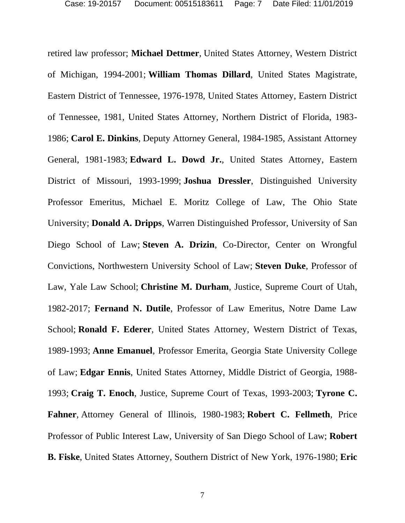retired law professor; **Michael Dettmer**, United States Attorney, Western District of Michigan, 1994-2001; **William Thomas Dillard**, United States Magistrate, Eastern District of Tennessee, 1976-1978, United States Attorney, Eastern District of Tennessee, 1981, United States Attorney, Northern District of Florida, 1983- 1986; **Carol E. Dinkins**, Deputy Attorney General, 1984-1985, Assistant Attorney General, 1981-1983; **Edward L. Dowd Jr.**, United States Attorney, Eastern District of Missouri, 1993-1999; **Joshua Dressler**, Distinguished University Professor Emeritus, Michael E. Moritz College of Law, The Ohio State University; **Donald A. Dripps**, Warren Distinguished Professor, University of San Diego School of Law; **Steven A. Drizin**, Co-Director, Center on Wrongful Convictions, Northwestern University School of Law; **Steven Duke**, Professor of Law, Yale Law School; **Christine M. Durham**, Justice, Supreme Court of Utah, 1982-2017; **Fernand N. Dutile**, Professor of Law Emeritus, Notre Dame Law School; **Ronald F. Ederer**, United States Attorney, Western District of Texas, 1989-1993; **Anne Emanuel**, Professor Emerita, Georgia State University College of Law; **Edgar Ennis**, United States Attorney, Middle District of Georgia, 1988- 1993; **Craig T. Enoch**, Justice, Supreme Court of Texas, 1993-2003; **Tyrone C. Fahner**, Attorney General of Illinois, 1980-1983; **Robert C. Fellmeth**, Price Professor of Public Interest Law, University of San Diego School of Law; **Robert B. Fiske**, United States Attorney, Southern District of New York, 1976-1980; **Eric**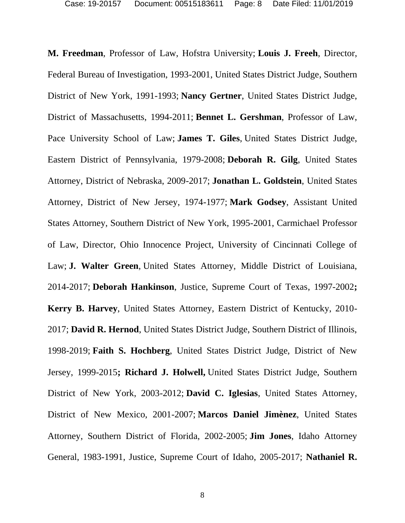**M. Freedman**, Professor of Law, Hofstra University; **Louis J. Freeh**, Director, Federal Bureau of Investigation, 1993-2001, United States District Judge, Southern District of New York, 1991-1993; **Nancy Gertner**, United States District Judge, District of Massachusetts, 1994-2011; **Bennet L. Gershman**, Professor of Law, Pace University School of Law; **James T. Giles**, United States District Judge, Eastern District of Pennsylvania, 1979-2008; **Deborah R. Gilg**, United States Attorney, District of Nebraska, 2009-2017; **Jonathan L. Goldstein**, United States Attorney, District of New Jersey, 1974-1977; **Mark Godsey**, Assistant United States Attorney, Southern District of New York, 1995-2001, Carmichael Professor of Law, Director, Ohio Innocence Project, University of Cincinnati College of Law; **J. Walter Green**, United States Attorney, Middle District of Louisiana, 2014-2017; **Deborah Hankinson**, Justice, Supreme Court of Texas, 1997-2002**; Kerry B. Harvey**, United States Attorney, Eastern District of Kentucky, 2010- 2017; **David R. Hernod**, United States District Judge, Southern District of Illinois, 1998-2019; **Faith S. Hochberg**, United States District Judge, District of New Jersey, 1999-2015**; Richard J. Holwell,** United States District Judge, Southern District of New York, 2003-2012; **David C. Iglesias**, United States Attorney, District of New Mexico, 2001-2007; **Marcos Daniel Jimènez**, United States Attorney, Southern District of Florida, 2002-2005; **Jim Jones**, Idaho Attorney General, 1983-1991, Justice, Supreme Court of Idaho, 2005-2017; **Nathaniel R.**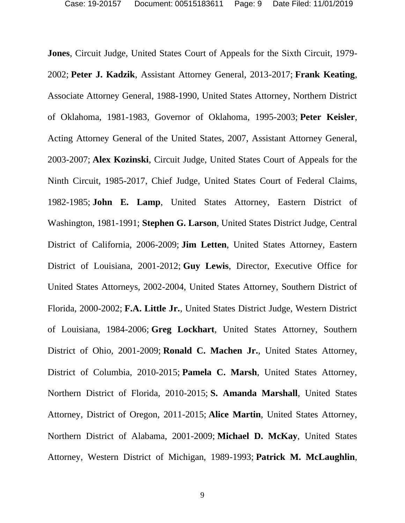**Jones**, Circuit Judge, United States Court of Appeals for the Sixth Circuit, 1979- 2002; **Peter J. Kadzik**, Assistant Attorney General, 2013-2017; **Frank Keating**, Associate Attorney General, 1988-1990, United States Attorney, Northern District of Oklahoma, 1981-1983, Governor of Oklahoma, 1995-2003; **Peter Keisler**, Acting Attorney General of the United States, 2007, Assistant Attorney General, 2003-2007; **Alex Kozinski**, Circuit Judge, United States Court of Appeals for the Ninth Circuit, 1985-2017, Chief Judge, United States Court of Federal Claims, 1982-1985; **John E. Lamp**, United States Attorney, Eastern District of Washington, 1981-1991; **Stephen G. Larson**, United States District Judge, Central District of California, 2006-2009; **Jim Letten**, United States Attorney, Eastern District of Louisiana, 2001-2012; **Guy Lewis**, Director, Executive Office for United States Attorneys, 2002-2004, United States Attorney, Southern District of Florida, 2000-2002; **F.A. Little Jr.**, United States District Judge, Western District of Louisiana, 1984-2006; **Greg Lockhart**, United States Attorney, Southern District of Ohio, 2001-2009; **Ronald C. Machen Jr.**, United States Attorney, District of Columbia, 2010-2015; **Pamela C. Marsh**, United States Attorney, Northern District of Florida, 2010-2015; **S. Amanda Marshall**, United States Attorney, District of Oregon, 2011-2015; **Alice Martin**, United States Attorney, Northern District of Alabama, 2001-2009; **Michael D. McKay**, United States Attorney, Western District of Michigan, 1989-1993; **Patrick M. McLaughlin**,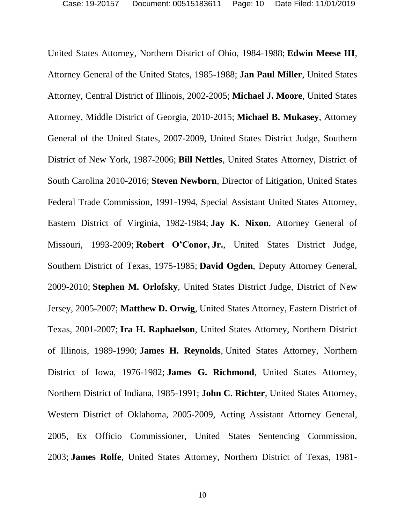United States Attorney, Northern District of Ohio, 1984-1988; **Edwin Meese III**, Attorney General of the United States, 1985-1988; **Jan Paul Miller**, United States Attorney, Central District of Illinois, 2002-2005; **Michael J. Moore**, United States Attorney, Middle District of Georgia, 2010-2015; **Michael B. Mukasey**, Attorney General of the United States, 2007-2009, United States District Judge, Southern District of New York, 1987-2006; **Bill Nettles**, United States Attorney, District of South Carolina 2010-2016; **Steven Newborn**, Director of Litigation, United States Federal Trade Commission, 1991-1994, Special Assistant United States Attorney, Eastern District of Virginia, 1982-1984; **Jay K. Nixon**, Attorney General of Missouri, 1993-2009; **Robert O'Conor, Jr.**, United States District Judge, Southern District of Texas, 1975-1985; **David Ogden**, Deputy Attorney General, 2009-2010; **Stephen M. Orlofsky**, United States District Judge, District of New Jersey, 2005-2007; **Matthew D. Orwig**, United States Attorney, Eastern District of Texas, 2001-2007; **Ira H. Raphaelson**, United States Attorney, Northern District of Illinois, 1989-1990; **James H. Reynolds**, United States Attorney, Northern District of Iowa, 1976-1982; **James G. Richmond**, United States Attorney, Northern District of Indiana, 1985-1991; **John C. Richter**, United States Attorney, Western District of Oklahoma, 2005-2009, Acting Assistant Attorney General, 2005, Ex Officio Commissioner, United States Sentencing Commission, 2003; **James Rolfe**, United States Attorney, Northern District of Texas, 1981-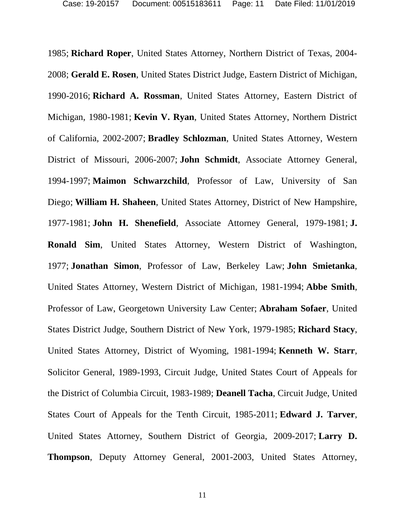1985; **Richard Roper**, United States Attorney, Northern District of Texas, 2004- 2008; **Gerald E. Rosen**, United States District Judge, Eastern District of Michigan, 1990-2016; **Richard A. Rossman**, United States Attorney, Eastern District of Michigan, 1980-1981; **Kevin V. Ryan**, United States Attorney, Northern District of California, 2002-2007; **Bradley Schlozman**, United States Attorney, Western District of Missouri, 2006-2007; **John Schmidt**, Associate Attorney General, 1994-1997; **Maimon Schwarzchild**, Professor of Law, University of San Diego; **William H. Shaheen**, United States Attorney, District of New Hampshire, 1977-1981; **John H. Shenefield**, Associate Attorney General, 1979-1981; **J. Ronald Sim**, United States Attorney, Western District of Washington, 1977; **Jonathan Simon**, Professor of Law, Berkeley Law; **John Smietanka**, United States Attorney, Western District of Michigan, 1981-1994; **Abbe Smith**, Professor of Law, Georgetown University Law Center; **Abraham Sofaer**, United States District Judge, Southern District of New York, 1979-1985; **Richard Stacy**, United States Attorney, District of Wyoming, 1981-1994; **Kenneth W. Starr**, Solicitor General, 1989-1993, Circuit Judge, United States Court of Appeals for the District of Columbia Circuit, 1983-1989; **Deanell Tacha**, Circuit Judge, United States Court of Appeals for the Tenth Circuit, 1985-2011; **Edward J. Tarver**, United States Attorney, Southern District of Georgia, 2009-2017; **Larry D. Thompson**, Deputy Attorney General, 2001-2003, United States Attorney,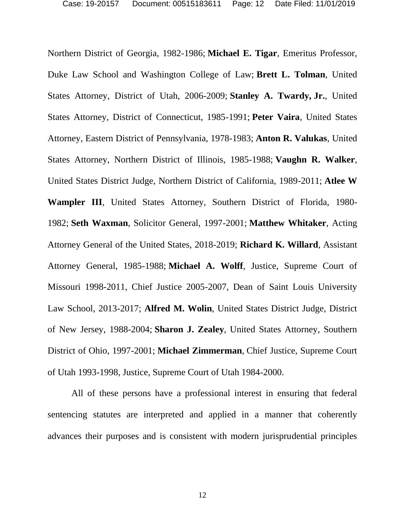Northern District of Georgia, 1982-1986; **Michael E. Tigar**, Emeritus Professor, Duke Law School and Washington College of Law; **Brett L. Tolman**, United States Attorney, District of Utah, 2006-2009; **Stanley A. Twardy, Jr.**, United States Attorney, District of Connecticut, 1985-1991; **Peter Vaira**, United States Attorney, Eastern District of Pennsylvania, 1978-1983; **Anton R. Valukas**, United States Attorney, Northern District of Illinois, 1985-1988; **Vaughn R. Walker**, United States District Judge, Northern District of California, 1989-2011; **Atlee W Wampler III**, United States Attorney, Southern District of Florida, 1980- 1982; **Seth Waxman**, Solicitor General, 1997-2001; **Matthew Whitaker**, Acting Attorney General of the United States, 2018-2019; **Richard K. Willard**, Assistant Attorney General, 1985-1988; **Michael A. Wolff**, Justice, Supreme Court of Missouri 1998-2011, Chief Justice 2005-2007, Dean of Saint Louis University Law School, 2013-2017; **Alfred M. Wolin**, United States District Judge, District of New Jersey, 1988-2004; **Sharon J. Zealey**, United States Attorney, Southern District of Ohio, 1997-2001; **Michael Zimmerman**, Chief Justice, Supreme Court of Utah 1993-1998, Justice, Supreme Court of Utah 1984-2000.

All of these persons have a professional interest in ensuring that federal sentencing statutes are interpreted and applied in a manner that coherently advances their purposes and is consistent with modern jurisprudential principles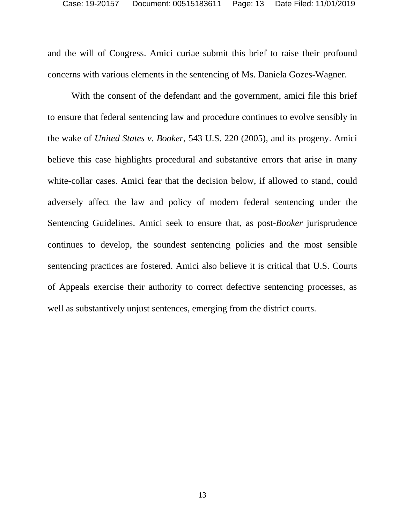and the will of Congress. Amici curiae submit this brief to raise their profound concerns with various elements in the sentencing of Ms. Daniela Gozes-Wagner.

With the consent of the defendant and the government, amici file this brief to ensure that federal sentencing law and procedure continues to evolve sensibly in the wake of *United States v. Booker*, 543 U.S. 220 (2005), and its progeny. Amici believe this case highlights procedural and substantive errors that arise in many white-collar cases. Amici fear that the decision below, if allowed to stand, could adversely affect the law and policy of modern federal sentencing under the Sentencing Guidelines. Amici seek to ensure that, as post-*Booker* jurisprudence continues to develop, the soundest sentencing policies and the most sensible sentencing practices are fostered. Amici also believe it is critical that U.S. Courts of Appeals exercise their authority to correct defective sentencing processes, as well as substantively unjust sentences, emerging from the district courts.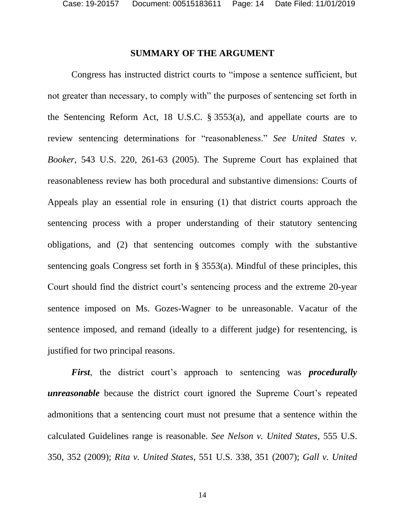#### **SUMMARY OF THE ARGUMENT**

<span id="page-13-0"></span>Congress has instructed district courts to "impose a sentence sufficient, but not greater than necessary, to comply with" the purposes of sentencing set forth in the Sentencing Reform Act, 18 U.S.C. § 3553(a), and appellate courts are to review sentencing determinations for "reasonableness." *See United States v. Booker*, 543 U.S. 220, 261-63 (2005). The Supreme Court has explained that reasonableness review has both procedural and substantive dimensions: Courts of Appeals play an essential role in ensuring (1) that district courts approach the sentencing process with a proper understanding of their statutory sentencing obligations, and (2) that sentencing outcomes comply with the substantive sentencing goals Congress set forth in § 3553(a). Mindful of these principles, this Court should find the district court's sentencing process and the extreme 20-year sentence imposed on Ms. Gozes-Wagner to be unreasonable. Vacatur of the sentence imposed, and remand (ideally to a different judge) for resentencing, is justified for two principal reasons.

*First*, the district court's approach to sentencing was *procedurally unreasonable* because the district court ignored the Supreme Court's repeated admonitions that a sentencing court must not presume that a sentence within the calculated Guidelines range is reasonable. *See Nelson v. United States*, 555 U.S. 350, 352 (2009); *Rita v. United States*, 551 U.S. 338, 351 (2007); *Gall v. United* 

14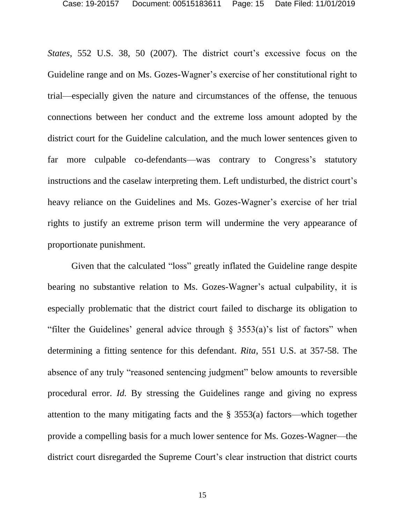*States*, 552 U.S. 38, 50 (2007). The district court's excessive focus on the Guideline range and on Ms. Gozes-Wagner's exercise of her constitutional right to trial—especially given the nature and circumstances of the offense, the tenuous connections between her conduct and the extreme loss amount adopted by the district court for the Guideline calculation, and the much lower sentences given to far more culpable co-defendants—was contrary to Congress's statutory instructions and the caselaw interpreting them. Left undisturbed, the district court's heavy reliance on the Guidelines and Ms. Gozes-Wagner's exercise of her trial rights to justify an extreme prison term will undermine the very appearance of proportionate punishment.

Given that the calculated "loss" greatly inflated the Guideline range despite bearing no substantive relation to Ms. Gozes-Wagner's actual culpability, it is especially problematic that the district court failed to discharge its obligation to "filter the Guidelines' general advice through  $\S$  3553(a)'s list of factors" when determining a fitting sentence for this defendant. *Rita*, 551 U.S. at 357-58. The absence of any truly "reasoned sentencing judgment" below amounts to reversible procedural error. *Id.* By stressing the Guidelines range and giving no express attention to the many mitigating facts and the § 3553(a) factors—which together provide a compelling basis for a much lower sentence for Ms. Gozes-Wagner—the district court disregarded the Supreme Court's clear instruction that district courts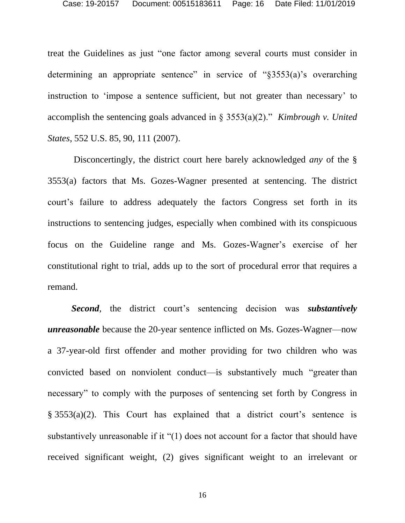treat the Guidelines as just "one factor among several courts must consider in determining an appropriate sentence" in service of "§3553(a)'s overarching instruction to 'impose a sentence sufficient, but not greater than necessary' to accomplish the sentencing goals advanced in § 3553(a)(2)." *Kimbrough v. United States*, 552 U.S. 85, 90, 111 (2007).

Disconcertingly, the district court here barely acknowledged *any* of the § 3553(a) factors that Ms. Gozes-Wagner presented at sentencing. The district court's failure to address adequately the factors Congress set forth in its instructions to sentencing judges, especially when combined with its conspicuous focus on the Guideline range and Ms. Gozes-Wagner's exercise of her constitutional right to trial, adds up to the sort of procedural error that requires a remand.

*Second*, the district court's sentencing decision was *substantively unreasonable* because the 20-year sentence inflicted on Ms. Gozes-Wagner—now a 37-year-old first offender and mother providing for two children who was convicted based on nonviolent conduct—is substantively much "greater than necessary" to comply with the purposes of sentencing set forth by Congress in § 3553(a)(2). This Court has explained that a district court's sentence is substantively unreasonable if it "(1) does not account for a factor that should have received significant weight, (2) gives significant weight to an irrelevant or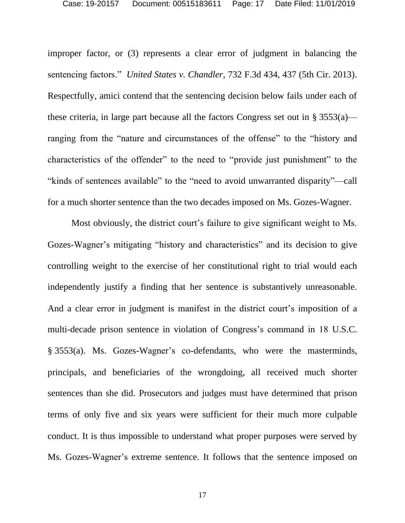improper factor, or (3) represents a clear error of judgment in balancing the sentencing factors." *United States v. Chandler*, 732 F.3d 434, 437 (5th Cir. 2013). Respectfully, amici contend that the sentencing decision below fails under each of these criteria, in large part because all the factors Congress set out in § 3553(a) ranging from the "nature and circumstances of the offense" to the "history and characteristics of the offender" to the need to "provide just punishment" to the "kinds of sentences available" to the "need to avoid unwarranted disparity"—call for a much shorter sentence than the two decades imposed on Ms. Gozes-Wagner.

Most obviously, the district court's failure to give significant weight to Ms. Gozes-Wagner's mitigating "history and characteristics" and its decision to give controlling weight to the exercise of her constitutional right to trial would each independently justify a finding that her sentence is substantively unreasonable. And a clear error in judgment is manifest in the district court's imposition of a multi-decade prison sentence in violation of Congress's command in 18 U.S.C. § 3553(a). Ms. Gozes-Wagner's co-defendants, who were the masterminds, principals, and beneficiaries of the wrongdoing, all received much shorter sentences than she did. Prosecutors and judges must have determined that prison terms of only five and six years were sufficient for their much more culpable conduct. It is thus impossible to understand what proper purposes were served by Ms. Gozes-Wagner's extreme sentence. It follows that the sentence imposed on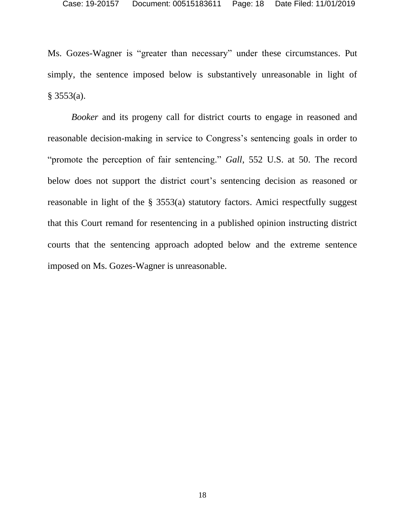Ms. Gozes-Wagner is "greater than necessary" under these circumstances. Put simply, the sentence imposed below is substantively unreasonable in light of § 3553(a).

*Booker* and its progeny call for district courts to engage in reasoned and reasonable decision-making in service to Congress's sentencing goals in order to "promote the perception of fair sentencing." *Gall*, 552 U.S. at 50. The record below does not support the district court's sentencing decision as reasoned or reasonable in light of the § 3553(a) statutory factors. Amici respectfully suggest that this Court remand for resentencing in a published opinion instructing district courts that the sentencing approach adopted below and the extreme sentence imposed on Ms. Gozes-Wagner is unreasonable.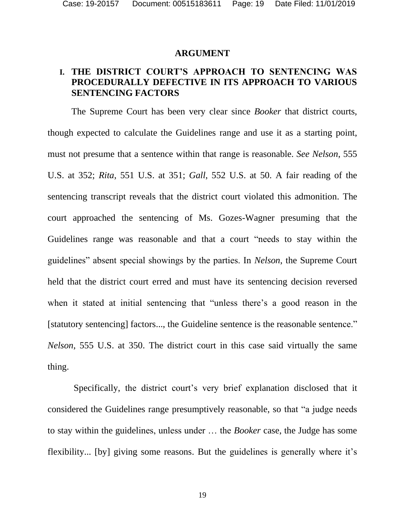#### **ARGUMENT**

## <span id="page-18-1"></span><span id="page-18-0"></span>**I. THE DISTRICT COURT'S APPROACH TO SENTENCING WAS PROCEDURALLY DEFECTIVE IN ITS APPROACH TO VARIOUS SENTENCING FACTORS**

The Supreme Court has been very clear since *Booker* that district courts, though expected to calculate the Guidelines range and use it as a starting point, must not presume that a sentence within that range is reasonable. *See Nelson*, 555 U.S. at 352; *Rita*, 551 U.S. at 351; *Gall*, 552 U.S. at 50. A fair reading of the sentencing transcript reveals that the district court violated this admonition. The court approached the sentencing of Ms. Gozes-Wagner presuming that the Guidelines range was reasonable and that a court "needs to stay within the guidelines" absent special showings by the parties. In *Nelson*, the Supreme Court held that the district court erred and must have its sentencing decision reversed when it stated at initial sentencing that "unless there's a good reason in the [statutory sentencing] factors..., the Guideline sentence is the reasonable sentence." *Nelson*, 555 U.S. at 350. The district court in this case said virtually the same thing.

Specifically, the district court's very brief explanation disclosed that it considered the Guidelines range presumptively reasonable, so that "a judge needs to stay within the guidelines, unless under … the *Booker* case, the Judge has some flexibility... [by] giving some reasons. But the guidelines is generally where it's

19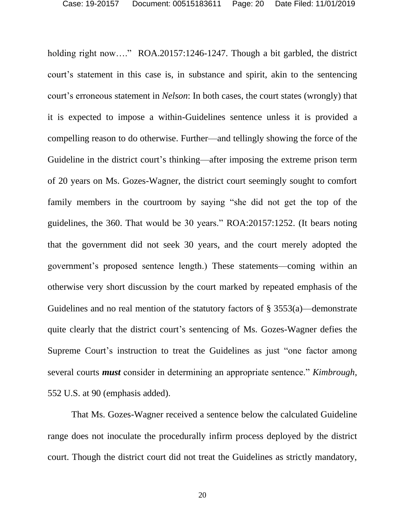holding right now...." ROA.20157:1246-1247. Though a bit garbled, the district court's statement in this case is, in substance and spirit, akin to the sentencing court's erroneous statement in *Nelson*: In both cases, the court states (wrongly) that it is expected to impose a within-Guidelines sentence unless it is provided a compelling reason to do otherwise. Further—and tellingly showing the force of the Guideline in the district court's thinking—after imposing the extreme prison term of 20 years on Ms. Gozes-Wagner, the district court seemingly sought to comfort family members in the courtroom by saying "she did not get the top of the guidelines, the 360. That would be 30 years." ROA:20157:1252. (It bears noting that the government did not seek 30 years, and the court merely adopted the government's proposed sentence length.) These statements—coming within an otherwise very short discussion by the court marked by repeated emphasis of the Guidelines and no real mention of the statutory factors of § 3553(a)—demonstrate quite clearly that the district court's sentencing of Ms. Gozes-Wagner defies the Supreme Court's instruction to treat the Guidelines as just "one factor among several courts *must* consider in determining an appropriate sentence." *Kimbrough*, 552 U.S. at 90 (emphasis added).

That Ms. Gozes-Wagner received a sentence below the calculated Guideline range does not inoculate the procedurally infirm process deployed by the district court. Though the district court did not treat the Guidelines as strictly mandatory,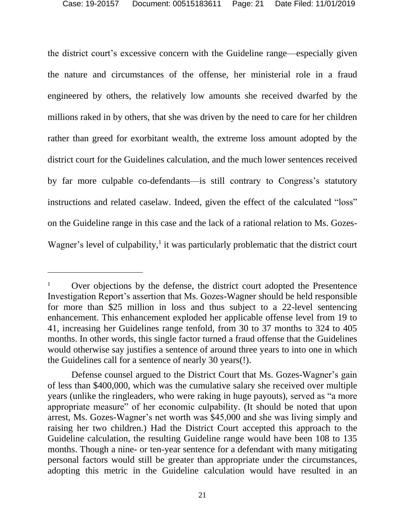the district court's excessive concern with the Guideline range—especially given the nature and circumstances of the offense, her ministerial role in a fraud engineered by others, the relatively low amounts she received dwarfed by the millions raked in by others, that she was driven by the need to care for her children rather than greed for exorbitant wealth, the extreme loss amount adopted by the district court for the Guidelines calculation, and the much lower sentences received by far more culpable co-defendants—is still contrary to Congress's statutory instructions and related caselaw. Indeed, given the effect of the calculated "loss" on the Guideline range in this case and the lack of a rational relation to Ms. Gozes-Wagner's level of culpability, $\frac{1}{1}$  it was particularly problematic that the district court

Over objections by the defense, the district court adopted the Presentence Investigation Report's assertion that Ms. Gozes-Wagner should be held responsible for more than \$25 million in loss and thus subject to a 22-level sentencing enhancement. This enhancement exploded her applicable offense level from 19 to 41, increasing her Guidelines range tenfold, from 30 to 37 months to 324 to 405 months. In other words, this single factor turned a fraud offense that the Guidelines would otherwise say justifies a sentence of around three years to into one in which the Guidelines call for a sentence of nearly 30 years(!).

Defense counsel argued to the District Court that Ms. Gozes-Wagner's gain of less than \$400,000, which was the cumulative salary she received over multiple years (unlike the ringleaders, who were raking in huge payouts), served as "a more appropriate measure" of her economic culpability. (It should be noted that upon arrest, Ms. Gozes-Wagner's net worth was \$45,000 and she was living simply and raising her two children.) Had the District Court accepted this approach to the Guideline calculation, the resulting Guideline range would have been 108 to 135 months. Though a nine- or ten-year sentence for a defendant with many mitigating personal factors would still be greater than appropriate under the circumstances, adopting this metric in the Guideline calculation would have resulted in an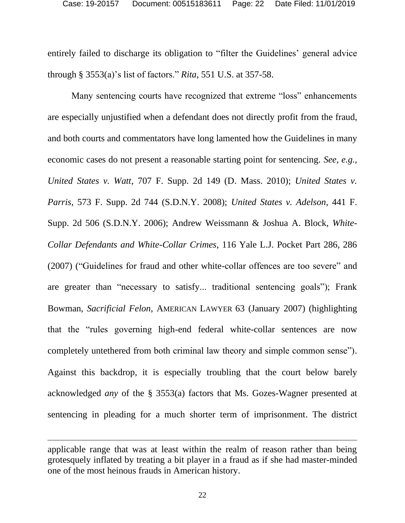entirely failed to discharge its obligation to "filter the Guidelines' general advice through § 3553(a)'s list of factors." *Rita*, 551 U.S. at 357-58.

Many sentencing courts have recognized that extreme "loss" enhancements are especially unjustified when a defendant does not directly profit from the fraud, and both courts and commentators have long lamented how the Guidelines in many economic cases do not present a reasonable starting point for sentencing. *See, e.g., United States v. Watt*, 707 F. Supp. 2d 149 (D. Mass. 2010); *United States v. Parris*, 573 F. Supp. 2d 744 (S.D.N.Y. 2008); *United States v. Adelson*, 441 F. Supp. 2d 506 (S.D.N.Y. 2006); Andrew Weissmann & Joshua A. Block, *White-Collar Defendants and White-Collar Crimes*, 116 Yale L.J. Pocket Part 286, 286 (2007) ("Guidelines for fraud and other white-collar offences are too severe" and are greater than "necessary to satisfy... traditional sentencing goals"); Frank Bowman, *Sacrificial Felon*, AMERICAN LAWYER 63 (January 2007) (highlighting that the "rules governing high-end federal white-collar sentences are now completely untethered from both criminal law theory and simple common sense"). Against this backdrop, it is especially troubling that the court below barely acknowledged *any* of the § 3553(a) factors that Ms. Gozes-Wagner presented at sentencing in pleading for a much shorter term of imprisonment. The district

applicable range that was at least within the realm of reason rather than being grotesquely inflated by treating a bit player in a fraud as if she had master-minded one of the most heinous frauds in American history.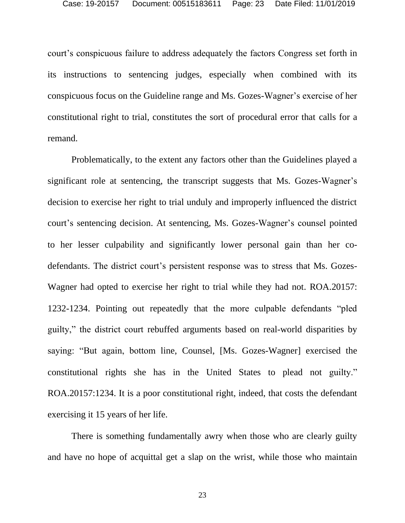court's conspicuous failure to address adequately the factors Congress set forth in its instructions to sentencing judges, especially when combined with its conspicuous focus on the Guideline range and Ms. Gozes-Wagner's exercise of her constitutional right to trial, constitutes the sort of procedural error that calls for a remand.

Problematically, to the extent any factors other than the Guidelines played a significant role at sentencing, the transcript suggests that Ms. Gozes-Wagner's decision to exercise her right to trial unduly and improperly influenced the district court's sentencing decision. At sentencing, Ms. Gozes-Wagner's counsel pointed to her lesser culpability and significantly lower personal gain than her codefendants. The district court's persistent response was to stress that Ms. Gozes-Wagner had opted to exercise her right to trial while they had not. ROA.20157: 1232-1234. Pointing out repeatedly that the more culpable defendants "pled guilty," the district court rebuffed arguments based on real-world disparities by saying: "But again, bottom line, Counsel, [Ms. Gozes-Wagner] exercised the constitutional rights she has in the United States to plead not guilty." ROA.20157:1234. It is a poor constitutional right, indeed, that costs the defendant exercising it 15 years of her life.

There is something fundamentally awry when those who are clearly guilty and have no hope of acquittal get a slap on the wrist, while those who maintain

23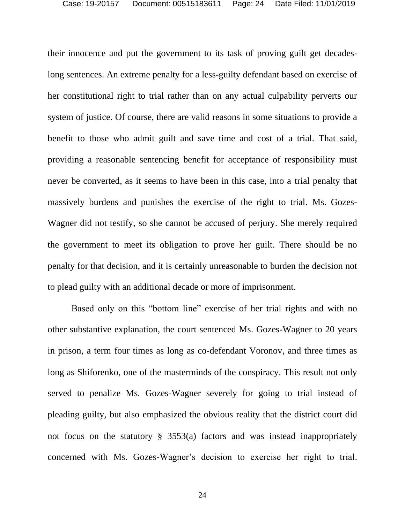their innocence and put the government to its task of proving guilt get decadeslong sentences. An extreme penalty for a less-guilty defendant based on exercise of her constitutional right to trial rather than on any actual culpability perverts our system of justice. Of course, there are valid reasons in some situations to provide a benefit to those who admit guilt and save time and cost of a trial. That said, providing a reasonable sentencing benefit for acceptance of responsibility must never be converted, as it seems to have been in this case, into a trial penalty that massively burdens and punishes the exercise of the right to trial. Ms. Gozes-Wagner did not testify, so she cannot be accused of perjury. She merely required the government to meet its obligation to prove her guilt. There should be no penalty for that decision, and it is certainly unreasonable to burden the decision not to plead guilty with an additional decade or more of imprisonment.

Based only on this "bottom line" exercise of her trial rights and with no other substantive explanation, the court sentenced Ms. Gozes-Wagner to 20 years in prison, a term four times as long as co-defendant Voronov, and three times as long as Shiforenko, one of the masterminds of the conspiracy. This result not only served to penalize Ms. Gozes-Wagner severely for going to trial instead of pleading guilty, but also emphasized the obvious reality that the district court did not focus on the statutory  $\S$  3553(a) factors and was instead inappropriately concerned with Ms. Gozes-Wagner's decision to exercise her right to trial.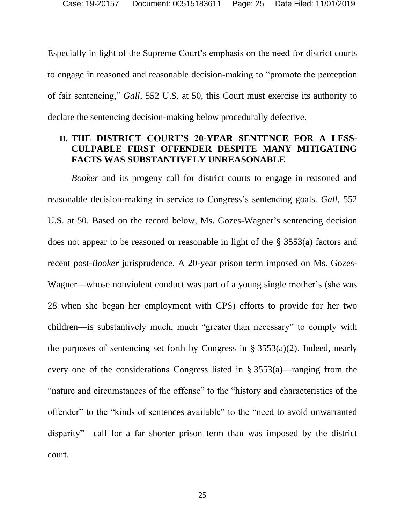Especially in light of the Supreme Court's emphasis on the need for district courts to engage in reasoned and reasonable decision-making to "promote the perception of fair sentencing," *Gall*, 552 U.S. at 50, this Court must exercise its authority to declare the sentencing decision-making below procedurally defective.

## <span id="page-24-0"></span>**II. THE DISTRICT COURT'S 20-YEAR SENTENCE FOR A LESS-CULPABLE FIRST OFFENDER DESPITE MANY MITIGATING FACTS WAS SUBSTANTIVELY UNREASONABLE**

*Booker* and its progeny call for district courts to engage in reasoned and reasonable decision-making in service to Congress's sentencing goals. *Gall*, 552 U.S. at 50. Based on the record below, Ms. Gozes-Wagner's sentencing decision does not appear to be reasoned or reasonable in light of the § 3553(a) factors and recent post-*Booker* jurisprudence. A 20-year prison term imposed on Ms. Gozes-Wagner—whose nonviolent conduct was part of a young single mother's (she was 28 when she began her employment with CPS) efforts to provide for her two children—is substantively much, much "greater than necessary" to comply with the purposes of sentencing set forth by Congress in  $\S 3553(a)(2)$ . Indeed, nearly every one of the considerations Congress listed in § 3553(a)—ranging from the "nature and circumstances of the offense" to the "history and characteristics of the offender" to the "kinds of sentences available" to the "need to avoid unwarranted disparity"—call for a far shorter prison term than was imposed by the district court.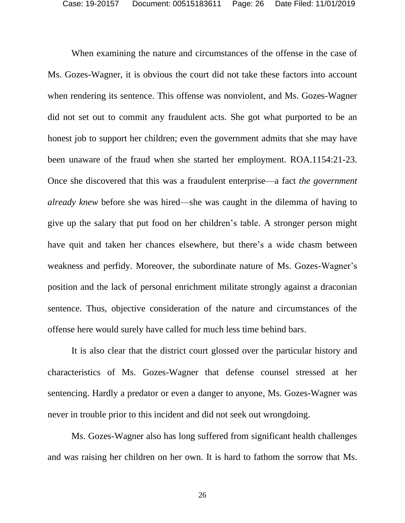When examining the nature and circumstances of the offense in the case of Ms. Gozes-Wagner, it is obvious the court did not take these factors into account when rendering its sentence. This offense was nonviolent, and Ms. Gozes-Wagner did not set out to commit any fraudulent acts. She got what purported to be an honest job to support her children; even the government admits that she may have been unaware of the fraud when she started her employment. ROA.1154:21-23. Once she discovered that this was a fraudulent enterprise—a fact *the government already knew* before she was hired—she was caught in the dilemma of having to give up the salary that put food on her children's table. A stronger person might have quit and taken her chances elsewhere, but there's a wide chasm between weakness and perfidy. Moreover, the subordinate nature of Ms. Gozes-Wagner's position and the lack of personal enrichment militate strongly against a draconian sentence. Thus, objective consideration of the nature and circumstances of the offense here would surely have called for much less time behind bars.

It is also clear that the district court glossed over the particular history and characteristics of Ms. Gozes-Wagner that defense counsel stressed at her sentencing. Hardly a predator or even a danger to anyone, Ms. Gozes-Wagner was never in trouble prior to this incident and did not seek out wrongdoing.

Ms. Gozes-Wagner also has long suffered from significant health challenges and was raising her children on her own. It is hard to fathom the sorrow that Ms.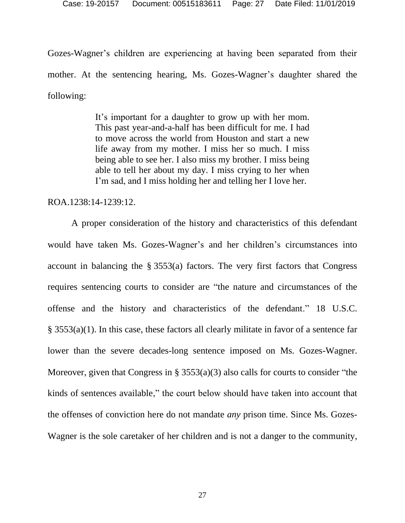Gozes-Wagner's children are experiencing at having been separated from their mother. At the sentencing hearing, Ms. Gozes-Wagner's daughter shared the following:

> It's important for a daughter to grow up with her mom. This past year-and-a-half has been difficult for me. I had to move across the world from Houston and start a new life away from my mother. I miss her so much. I miss being able to see her. I also miss my brother. I miss being able to tell her about my day. I miss crying to her when I'm sad, and I miss holding her and telling her I love her.

ROA.1238:14-1239:12.

A proper consideration of the history and characteristics of this defendant would have taken Ms. Gozes-Wagner's and her children's circumstances into account in balancing the § 3553(a) factors. The very first factors that Congress requires sentencing courts to consider are "the nature and circumstances of the offense and the history and characteristics of the defendant." 18 U.S.C. § 3553(a)(1). In this case, these factors all clearly militate in favor of a sentence far lower than the severe decades-long sentence imposed on Ms. Gozes-Wagner. Moreover, given that Congress in § 3553(a)(3) also calls for courts to consider "the kinds of sentences available," the court below should have taken into account that the offenses of conviction here do not mandate *any* prison time. Since Ms. Gozes-Wagner is the sole caretaker of her children and is not a danger to the community,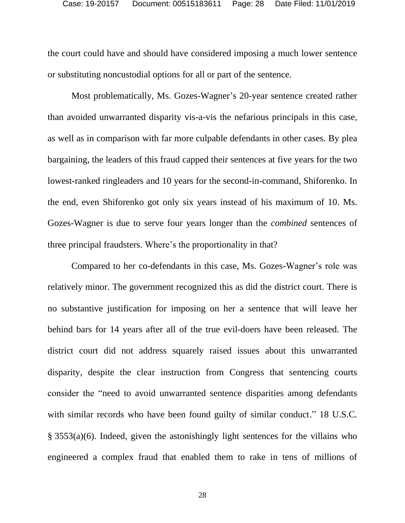the court could have and should have considered imposing a much lower sentence or substituting noncustodial options for all or part of the sentence.

Most problematically, Ms. Gozes-Wagner's 20-year sentence created rather than avoided unwarranted disparity vis-a-vis the nefarious principals in this case, as well as in comparison with far more culpable defendants in other cases. By plea bargaining, the leaders of this fraud capped their sentences at five years for the two lowest-ranked ringleaders and 10 years for the second-in-command, Shiforenko. In the end, even Shiforenko got only six years instead of his maximum of 10. Ms. Gozes-Wagner is due to serve four years longer than the *combined* sentences of three principal fraudsters. Where's the proportionality in that?

Compared to her co-defendants in this case, Ms. Gozes-Wagner's role was relatively minor. The government recognized this as did the district court. There is no substantive justification for imposing on her a sentence that will leave her behind bars for 14 years after all of the true evil-doers have been released. The district court did not address squarely raised issues about this unwarranted disparity, despite the clear instruction from Congress that sentencing courts consider the "need to avoid unwarranted sentence disparities among defendants with similar records who have been found guilty of similar conduct." 18 U.S.C. § 3553(a)(6). Indeed, given the astonishingly light sentences for the villains who engineered a complex fraud that enabled them to rake in tens of millions of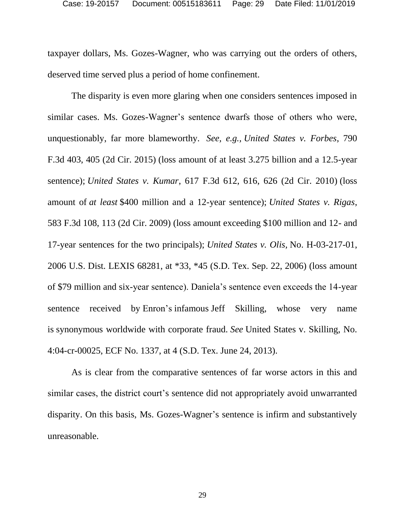taxpayer dollars, Ms. Gozes-Wagner, who was carrying out the orders of others, deserved time served plus a period of home confinement.

The disparity is even more glaring when one considers sentences imposed in similar cases. Ms. Gozes-Wagner's sentence dwarfs those of others who were, unquestionably, far more blameworthy. *See, e.g., United States v. Forbes*, 790 F.3d 403, 405 (2d Cir. 2015) (loss amount of at least 3.275 billion and a 12.5-year sentence); *United States v. Kumar*, 617 F.3d 612, 616, 626 (2d Cir. 2010) (loss amount of *at least* \$400 million and a 12-year sentence); *United States v. Rigas*, 583 F.3d 108, 113 (2d Cir. 2009) (loss amount exceeding \$100 million and 12- and 17-year sentences for the two principals); *United States v. Olis,* No. H-03-217-01, 2006 U.S. Dist. LEXIS 68281, at \*33, \*45 (S.D. Tex. Sep. 22, 2006) (loss amount of \$79 million and six-year sentence). Daniela's sentence even exceeds the 14-year sentence received by Enron's infamous Jeff Skilling, whose very name is synonymous worldwide with corporate fraud. *See* United States v. Skilling, No. 4:04-cr-00025, ECF No. 1337, at 4 (S.D. Tex. June 24, 2013).

As is clear from the comparative sentences of far worse actors in this and similar cases, the district court's sentence did not appropriately avoid unwarranted disparity. On this basis, Ms. Gozes-Wagner's sentence is infirm and substantively unreasonable.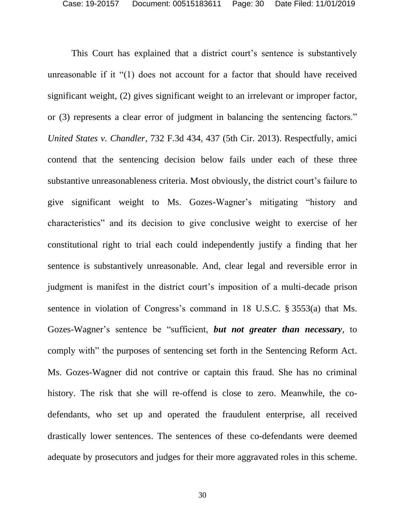This Court has explained that a district court's sentence is substantively unreasonable if it "(1) does not account for a factor that should have received significant weight, (2) gives significant weight to an irrelevant or improper factor, or (3) represents a clear error of judgment in balancing the sentencing factors." *United States v. Chandler*, 732 F.3d 434, 437 (5th Cir. 2013). Respectfully, amici contend that the sentencing decision below fails under each of these three substantive unreasonableness criteria. Most obviously, the district court's failure to give significant weight to Ms. Gozes-Wagner's mitigating "history and characteristics" and its decision to give conclusive weight to exercise of her constitutional right to trial each could independently justify a finding that her sentence is substantively unreasonable. And, clear legal and reversible error in judgment is manifest in the district court's imposition of a multi-decade prison sentence in violation of Congress's command in 18 U.S.C. § 3553(a) that Ms. Gozes-Wagner's sentence be "sufficient, *but not greater than necessary*, to comply with" the purposes of sentencing set forth in the Sentencing Reform Act. Ms. Gozes-Wagner did not contrive or captain this fraud. She has no criminal history. The risk that she will re-offend is close to zero. Meanwhile, the codefendants, who set up and operated the fraudulent enterprise, all received drastically lower sentences. The sentences of these co-defendants were deemed adequate by prosecutors and judges for their more aggravated roles in this scheme.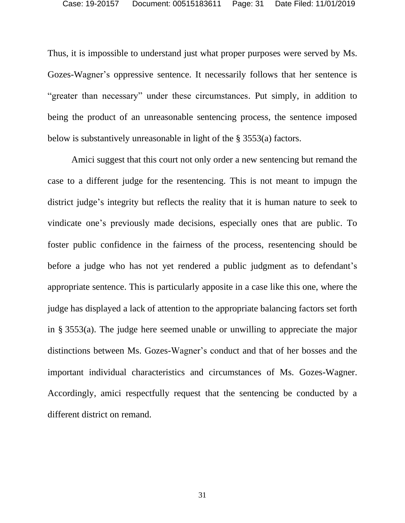Thus, it is impossible to understand just what proper purposes were served by Ms. Gozes-Wagner's oppressive sentence. It necessarily follows that her sentence is "greater than necessary" under these circumstances. Put simply, in addition to being the product of an unreasonable sentencing process, the sentence imposed below is substantively unreasonable in light of the § 3553(a) factors.

Amici suggest that this court not only order a new sentencing but remand the case to a different judge for the resentencing. This is not meant to impugn the district judge's integrity but reflects the reality that it is human nature to seek to vindicate one's previously made decisions, especially ones that are public. To foster public confidence in the fairness of the process, resentencing should be before a judge who has not yet rendered a public judgment as to defendant's appropriate sentence. This is particularly apposite in a case like this one, where the judge has displayed a lack of attention to the appropriate balancing factors set forth in § 3553(a). The judge here seemed unable or unwilling to appreciate the major distinctions between Ms. Gozes-Wagner's conduct and that of her bosses and the important individual characteristics and circumstances of Ms. Gozes-Wagner. Accordingly, amici respectfully request that the sentencing be conducted by a different district on remand.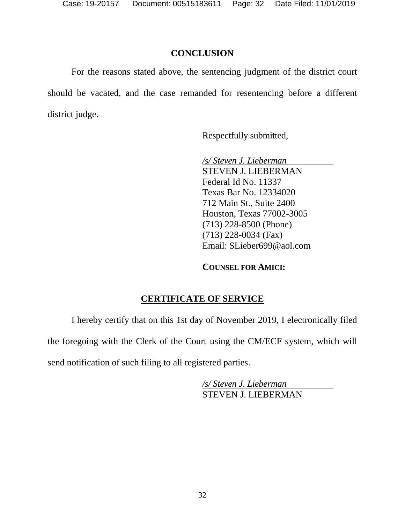### **CONCLUSION**

<span id="page-31-0"></span>For the reasons stated above, the sentencing judgment of the district court should be vacated, and the case remanded for resentencing before a different district judge.

Respectfully submitted,

*/s/ Steven J. Lieberman* STEVEN J. LIEBERMAN Federal Id No. 11337 Texas Bar No. 12334020 712 Main St., Suite 2400 Houston, Texas 77002-3005 (713) 228-8500 (Phone) (713) 228-0034 (Fax) Email: SLieber699@aol.com

**COUNSEL FOR AMICI:**

## **CERTIFICATE OF SERVICE**

I hereby certify that on this 1st day of November 2019, I electronically filed

the foregoing with the Clerk of the Court using the CM/ECF system, which will

send notification of such filing to all registered parties.

*/s/ Steven J. Lieberman* STEVEN J. LIEBERMAN